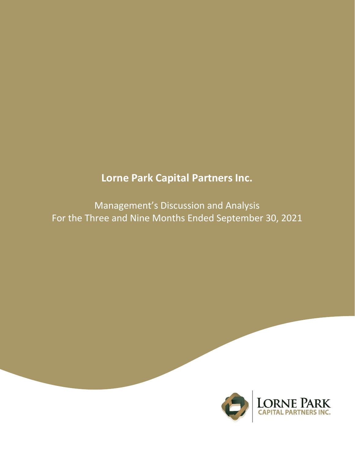# **Lorne Park Capital Partners Inc.**

Management's Discussion and Analysis For the Three and Nine Months Ended September 30, 2021

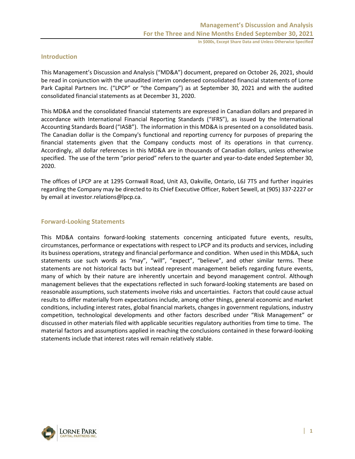# **Introduction**

This Management's Discussion and Analysis ("MD&A") document, prepared on October 26, 2021, should be read in conjunction with the unaudited interim condensed consolidated financial statements of Lorne Park Capital Partners Inc. ("LPCP" or "the Company") as at September 30, 2021 and with the audited consolidated financial statements as at December 31, 2020.

This MD&A and the consolidated financial statements are expressed in Canadian dollars and prepared in accordance with International Financial Reporting Standards ("IFRS"), as issued by the International Accounting Standards Board ("IASB"). The information in this MD&A is presented on a consolidated basis. The Canadian dollar is the Company's functional and reporting currency for purposes of preparing the financial statements given that the Company conducts most of its operations in that currency. Accordingly, all dollar references in this MD&A are in thousands of Canadian dollars, unless otherwise specified. The use of the term "prior period" refers to the quarter and year-to-date ended September 30, 2020.

The offices of LPCP are at 1295 Cornwall Road, Unit A3, Oakville, Ontario, L6J 7T5 and further inquiries regarding the Company may be directed to its Chief Executive Officer, Robert Sewell, at (905) 337-2227 or by email at investor.relations@lpcp.ca.

### **Forward-Looking Statements**

This MD&A contains forward-looking statements concerning anticipated future events, results, circumstances, performance or expectations with respect to LPCP and its products and services, including its business operations, strategy and financial performance and condition. When used in this MD&A, such statements use such words as "may", "will", "expect", "believe", and other similar terms. These statements are not historical facts but instead represent management beliefs regarding future events, many of which by their nature are inherently uncertain and beyond management control. Although management believes that the expectations reflected in such forward-looking statements are based on reasonable assumptions, such statements involve risks and uncertainties. Factors that could cause actual results to differ materially from expectations include, among other things, general economic and market conditions, including interest rates, global financial markets, changes in government regulations, industry competition, technological developments and other factors described under "Risk Management" or discussed in other materials filed with applicable securities regulatory authorities from time to time. The material factors and assumptions applied in reaching the conclusions contained in these forward-looking statements include that interest rates will remain relatively stable.

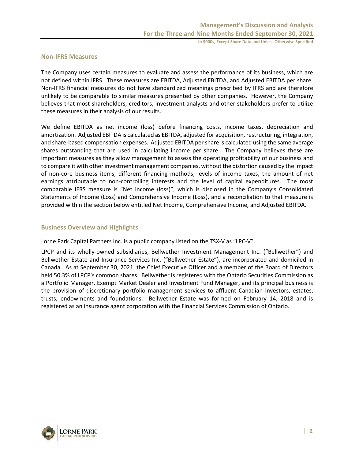#### **Non-IFRS Measures**

The Company uses certain measures to evaluate and assess the performance of its business, which are not defined within IFRS. These measures are EBITDA, Adjusted EBITDA, and Adjusted EBITDA per share. Non-IFRS financial measures do not have standardized meanings prescribed by IFRS and are therefore unlikely to be comparable to similar measures presented by other companies. However, the Company believes that most shareholders, creditors, investment analysts and other stakeholders prefer to utilize these measures in their analysis of our results.

We define EBITDA as net income (loss) before financing costs, income taxes, depreciation and amortization. Adjusted EBITDA is calculated as EBITDA, adjusted for acquisition, restructuring, integration, and share-based compensation expenses. Adjusted EBITDA per share is calculated using the same average shares outstanding that are used in calculating income per share. The Company believes these are important measures as they allow management to assess the operating profitability of our business and to compare it with other investment management companies, without the distortion caused by the impact of non-core business items, different financing methods, levels of income taxes, the amount of net earnings attributable to non-controlling interests and the level of capital expenditures. The most comparable IFRS measure is "Net income (loss)", which is disclosed in the Company's Consolidated Statements of Income (Loss) and Comprehensive Income (Loss), and a reconciliation to that measure is provided within the section below entitled Net Income, Comprehensive Income, and Adjusted EBITDA.

#### **Business Overview and Highlights**

Lorne Park Capital Partners Inc. is a public company listed on the TSX-V as "LPC-V".

LPCP and its wholly-owned subsidiaries, Bellwether Investment Management Inc. ("Bellwether") and Bellwether Estate and Insurance Services Inc. ("Bellwether Estate"), are incorporated and domiciled in Canada. As at September 30, 2021, the Chief Executive Officer and a member of the Board of Directors held 50.3% of LPCP's common shares. Bellwether is registered with the Ontario Securities Commission as a Portfolio Manager, Exempt Market Dealer and Investment Fund Manager, and its principal business is the provision of discretionary portfolio management services to affluent Canadian investors, estates, trusts, endowments and foundations. Bellwether Estate was formed on February 14, 2018 and is registered as an insurance agent corporation with the Financial Services Commission of Ontario.

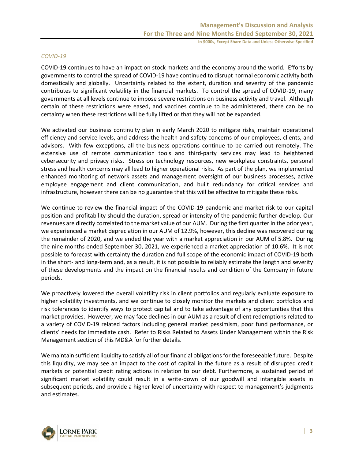#### *COVID-19*

COVID-19 continues to have an impact on stock markets and the economy around the world. Efforts by governments to control the spread of COVID-19 have continued to disrupt normal economic activity both domestically and globally. Uncertainty related to the extent, duration and severity of the pandemic contributes to significant volatility in the financial markets. To control the spread of COVID-19, many governments at all levels continue to impose severe restrictions on business activity and travel. Although certain of these restrictions were eased, and vaccines continue to be administered, there can be no certainty when these restrictions will be fully lifted or that they will not be expanded.

We activated our business continuity plan in early March 2020 to mitigate risks, maintain operational efficiency and service levels, and address the health and safety concerns of our employees, clients, and advisors. With few exceptions, all the business operations continue to be carried out remotely. The extensive use of remote communication tools and third-party services may lead to heightened cybersecurity and privacy risks. Stress on technology resources, new workplace constraints, personal stress and health concerns may all lead to higher operational risks. As part of the plan, we implemented enhanced monitoring of network assets and management oversight of our business processes, active employee engagement and client communication, and built redundancy for critical services and infrastructure, however there can be no guarantee that this will be effective to mitigate these risks.

We continue to review the financial impact of the COVID-19 pandemic and market risk to our capital position and profitability should the duration, spread or intensity of the pandemic further develop. Our revenues are directly correlated to the market value of our AUM. During the first quarter in the prior year, we experienced a market depreciation in our AUM of 12.9%, however, this decline was recovered during the remainder of 2020, and we ended the year with a market appreciation in our AUM of 5.8%. During the nine months ended September 30, 2021, we experienced a market appreciation of 10.6%. It is not possible to forecast with certainty the duration and full scope of the economic impact of COVID-19 both in the short- and long-term and, as a result, it is not possible to reliably estimate the length and severity of these developments and the impact on the financial results and condition of the Company in future periods.

We proactively lowered the overall volatility risk in client portfolios and regularly evaluate exposure to higher volatility investments, and we continue to closely monitor the markets and client portfolios and risk tolerances to identify ways to protect capital and to take advantage of any opportunities that this market provides. However, we may face declines in our AUM as a result of client redemptions related to a variety of COVID-19 related factors including general market pessimism, poor fund performance, or clients' needs for immediate cash. Refer to Risks Related to Assets Under Management within the Risk Management section of this MD&A for further details.

We maintain sufficient liquidity to satisfy all of our financial obligations for the foreseeable future. Despite this liquidity, we may see an impact to the cost of capital in the future as a result of disrupted credit markets or potential credit rating actions in relation to our debt. Furthermore, a sustained period of significant market volatility could result in a write-down of our goodwill and intangible assets in subsequent periods, and provide a higher level of uncertainty with respect to management's judgments and estimates.

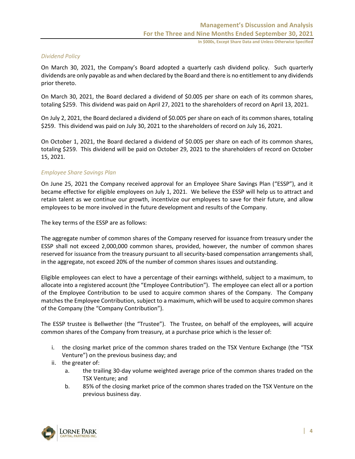#### *Dividend Policy*

On March 30, 2021, the Company's Board adopted a quarterly cash dividend policy. Such quarterly dividends are only payable as and when declared by the Board and there is no entitlement to any dividends prior thereto.

On March 30, 2021, the Board declared a dividend of \$0.005 per share on each of its common shares, totaling \$259. This dividend was paid on April 27, 2021 to the shareholders of record on April 13, 2021.

On July 2, 2021, the Board declared a dividend of \$0.005 per share on each of its common shares, totaling \$259. This dividend was paid on July 30, 2021 to the shareholders of record on July 16, 2021.

On October 1, 2021, the Board declared a dividend of \$0.005 per share on each of its common shares, totaling \$259. This dividend will be paid on October 29, 2021 to the shareholders of record on October 15, 2021.

#### *Employee Share Savings Plan*

On June 25, 2021 the Company received approval for an Employee Share Savings Plan ("ESSP"), and it became effective for eligible employees on July 1, 2021. We believe the ESSP will help us to attract and retain talent as we continue our growth, incentivize our employees to save for their future, and allow employees to be more involved in the future development and results of the Company.

The key terms of the ESSP are as follows:

The aggregate number of common shares of the Company reserved for issuance from treasury under the ESSP shall not exceed 2,000,000 common shares, provided, however, the number of common shares reserved for issuance from the treasury pursuant to all security-based compensation arrangements shall, in the aggregate, not exceed 20% of the number of common shares issues and outstanding.

Eligible employees can elect to have a percentage of their earnings withheld, subject to a maximum, to allocate into a registered account (the "Employee Contribution"). The employee can elect all or a portion of the Employee Contribution to be used to acquire common shares of the Company. The Company matches the Employee Contribution, subject to a maximum, which will be used to acquire common shares of the Company (the "Company Contribution").

The ESSP trustee is Bellwether (the "Trustee"). The Trustee, on behalf of the employees, will acquire common shares of the Company from treasury, at a purchase price which is the lesser of:

- i. the closing market price of the common shares traded on the TSX Venture Exchange (the "TSX Venture") on the previous business day; and
- ii. the greater of:
	- a. the trailing 30-day volume weighted average price of the common shares traded on the TSX Venture; and
	- b. 85% of the closing market price of the common shares traded on the TSX Venture on the previous business day.

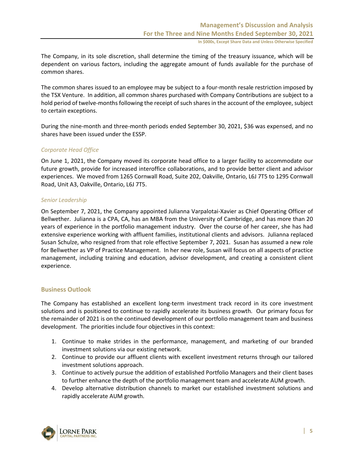The Company, in its sole discretion, shall determine the timing of the treasury issuance, which will be dependent on various factors, including the aggregate amount of funds available for the purchase of common shares.

The common shares issued to an employee may be subject to a four-month resale restriction imposed by the TSX Venture. In addition, all common shares purchased with Company Contributions are subject to a hold period of twelve-months following the receipt of such shares in the account of the employee, subject to certain exceptions.

During the nine-month and three-month periods ended September 30, 2021, \$36 was expensed, and no shares have been issued under the ESSP.

#### *Corporate Head Office*

On June 1, 2021, the Company moved its corporate head office to a larger facility to accommodate our future growth, provide for increased interoffice collaborations, and to provide better client and advisor experiences. We moved from 1265 Cornwall Road, Suite 202, Oakville, Ontario, L6J 7T5 to 1295 Cornwall Road, Unit A3, Oakville, Ontario, L6J 7T5.

#### *Senior Leadership*

On September 7, 2021, the Company appointed Julianna Varpalotai-Xavier as Chief Operating Officer of Bellwether. Julianna is a CPA, CA, has an MBA from the University of Cambridge, and has more than 20 years of experience in the portfolio management industry. Over the course of her career, she has had extensive experience working with affluent families, institutional clients and advisors. Julianna replaced Susan Schulze, who resigned from that role effective September 7, 2021. Susan has assumed a new role for Bellwether as VP of Practice Management. In her new role, Susan will focus on all aspects of practice management, including training and education, advisor development, and creating a consistent client experience.

#### **Business Outlook**

The Company has established an excellent long-term investment track record in its core investment solutions and is positioned to continue to rapidly accelerate its business growth. Our primary focus for the remainder of 2021 is on the continued development of our portfolio management team and business development. The priorities include four objectives in this context:

- 1. Continue to make strides in the performance, management, and marketing of our branded investment solutions via our existing network.
- 2. Continue to provide our affluent clients with excellent investment returns through our tailored investment solutions approach.
- 3. Continue to actively pursue the addition of established Portfolio Managers and their client bases to further enhance the depth of the portfolio management team and accelerate AUM growth.
- 4. Develop alternative distribution channels to market our established investment solutions and rapidly accelerate AUM growth.

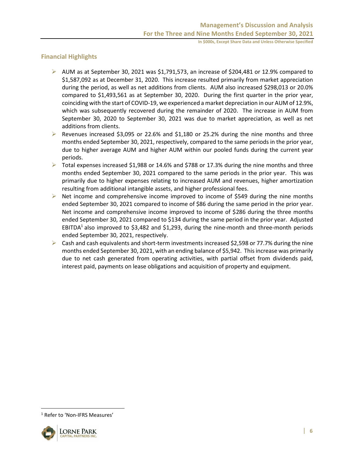# **Financial Highlights**

- $\triangleright$  AUM as at September 30, 2021 was \$1,791,573, an increase of \$204,481 or 12.9% compared to \$1,587,092 as at December 31, 2020. This increase resulted primarily from market appreciation during the period, as well as net additions from clients. AUM also increased \$298,013 or 20.0% compared to \$1,493,561 as at September 30, 2020. During the first quarter in the prior year, coinciding with the start of COVID-19, we experienced a market depreciation in our AUM of 12.9%, which was subsequently recovered during the remainder of 2020. The increase in AUM from September 30, 2020 to September 30, 2021 was due to market appreciation, as well as net additions from clients.
- ➢ Revenues increased \$3,095 or 22.6% and \$1,180 or 25.2% during the nine months and three months ended September 30, 2021, respectively, compared to the same periods in the prior year, due to higher average AUM and higher AUM within our pooled funds during the current year periods.
- ➢ Total expenses increased \$1,988 or 14.6% and \$788 or 17.3% during the nine months and three months ended September 30, 2021 compared to the same periods in the prior year. This was primarily due to higher expenses relating to increased AUM and revenues, higher amortization resulting from additional intangible assets, and higher professional fees.
- $\triangleright$  Net income and comprehensive income improved to income of \$549 during the nine months ended September 30, 2021 compared to income of \$86 during the same period in the prior year. Net income and comprehensive income improved to income of \$286 during the three months ended September 30, 2021 compared to \$134 during the same period in the prior year. Adjusted EBITDA<sup>1</sup> also improved to \$3,482 and \$1,293, during the nine-month and three-month periods ended September 30, 2021, respectively.
- $\triangleright$  Cash and cash equivalents and short-term investments increased \$2,598 or 77.7% during the nine months ended September 30, 2021, with an ending balance of \$5,942. This increase was primarily due to net cash generated from operating activities, with partial offset from dividends paid, interest paid, payments on lease obligations and acquisition of property and equipment.

<sup>&</sup>lt;sup>1</sup> Refer to 'Non-IFRS Measures'

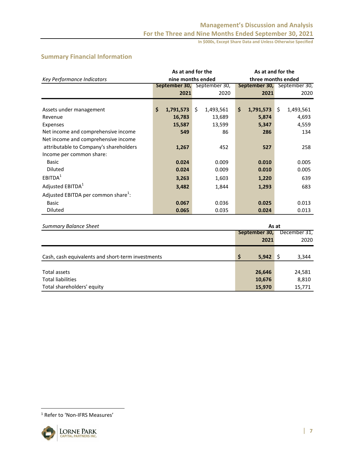# **Summary Financial Information**

|                                                 | As at and for the           |       |           | As at and for the |                    |                             |           |  |  |  |
|-------------------------------------------------|-----------------------------|-------|-----------|-------------------|--------------------|-----------------------------|-----------|--|--|--|
| Key Performance Indicators                      | nine months ended           |       |           |                   | three months ended |                             |           |  |  |  |
|                                                 | September 30, September 30, |       |           |                   |                    | September 30, September 30, |           |  |  |  |
|                                                 | 2021                        |       | 2020      |                   | 2021               |                             | 2020      |  |  |  |
|                                                 |                             |       |           |                   |                    |                             |           |  |  |  |
| Assets under management                         | \$<br>1,791,573             | \$    | 1,493,561 | \$                | 1,791,573          | Ŝ.                          | 1,493,561 |  |  |  |
| Revenue                                         | 16,783                      |       | 13,689    |                   | 5,874              |                             | 4,693     |  |  |  |
| Expenses                                        | 15,587                      |       | 13,599    |                   | 5,347              |                             | 4,559     |  |  |  |
| Net income and comprehensive income             | 549                         |       | 86        |                   | 286                |                             | 134       |  |  |  |
| Net income and comprehensive income             |                             |       |           |                   |                    |                             |           |  |  |  |
| attributable to Company's shareholders          | 1,267                       |       | 452       |                   | 527                |                             | 258       |  |  |  |
| Income per common share:                        |                             |       |           |                   |                    |                             |           |  |  |  |
| <b>Basic</b>                                    | 0.024                       |       | 0.009     |                   | 0.010              |                             | 0.005     |  |  |  |
| <b>Diluted</b>                                  | 0.024                       |       | 0.009     |                   | 0.010              |                             | 0.005     |  |  |  |
| EBITDA <sup>1</sup>                             | 3,263                       |       | 1,603     |                   | 1,220              | 639                         |           |  |  |  |
| Adjusted EBITDA <sup>1</sup>                    | 3,482                       |       | 1,844     |                   | 1,293              |                             | 683       |  |  |  |
| Adjusted EBITDA per common share <sup>1</sup> : |                             |       |           |                   |                    |                             |           |  |  |  |
| <b>Basic</b>                                    | 0.067                       | 0.036 |           | 0.025             |                    |                             | 0.013     |  |  |  |
| <b>Diluted</b>                                  | 0.065                       |       | 0.035     |                   | 0.024              |                             | 0.013     |  |  |  |

| <b>Summary Balance Sheet</b>                      | As at         |              |  |  |  |  |  |
|---------------------------------------------------|---------------|--------------|--|--|--|--|--|
|                                                   | September 30, | December 31, |  |  |  |  |  |
|                                                   | 2021          | 2020         |  |  |  |  |  |
|                                                   |               |              |  |  |  |  |  |
| Cash, cash equivalents and short-term investments | \$<br>5,942   | 3,344        |  |  |  |  |  |
|                                                   |               |              |  |  |  |  |  |
| Total assets                                      | 26,646        | 24,581       |  |  |  |  |  |
| <b>Total liabilities</b>                          | 10,676        | 8,810        |  |  |  |  |  |
| Total shareholders' equity                        | 15,970        | 15,771       |  |  |  |  |  |

<sup>1</sup> Refer to 'Non-IFRS Measures'

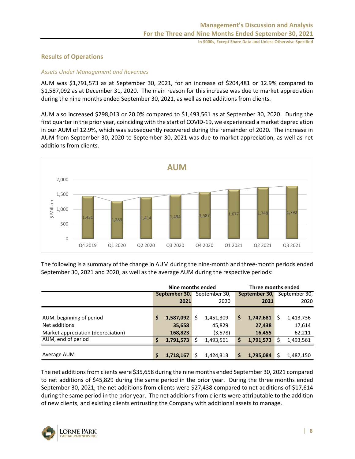# **Results of Operations**

#### *Assets Under Management and Revenues*

AUM was \$1,791,573 as at September 30, 2021, for an increase of \$204,481 or 12.9% compared to \$1,587,092 as at December 31, 2020. The main reason for this increase was due to market appreciation during the nine months ended September 30, 2021, as well as net additions from clients.

AUM also increased \$298,013 or 20.0% compared to \$1,493,561 as at September 30, 2020. During the first quarter in the prior year, coinciding with the start of COVID-19, we experienced a market depreciation in our AUM of 12.9%, which was subsequently recovered during the remainder of 2020. The increase in AUM from September 30, 2020 to September 30, 2021 was due to market appreciation, as well as net additions from clients.



The following is a summary of the change in AUM during the nine-month and three-month periods ended September 30, 2021 and 2020, as well as the average AUM during the respective periods:

|                                    |               | Nine months ended |   |               | Three months ended |           |   |                                    |  |  |
|------------------------------------|---------------|-------------------|---|---------------|--------------------|-----------|---|------------------------------------|--|--|
|                                    | September 30, |                   |   | September 30, |                    |           |   | <b>September 30, September 30,</b> |  |  |
|                                    |               | 2021              |   | 2020          |                    | 2021      |   | 2020                               |  |  |
|                                    |               |                   |   |               |                    |           |   |                                    |  |  |
| AUM, beginning of period           | S             | 1,587,092         | Ś | 1,451,309     | \$                 | 1,747,681 | S | 1,413,736                          |  |  |
| Net additions                      |               | 35,658            |   | 45,829        |                    | 27,438    |   | 17,614                             |  |  |
| Market appreciation (depreciation) |               | 168,823           |   | (3,578)       |                    | 16,455    |   | 62,211                             |  |  |
| AUM, end of period                 | S             | 1,791,573         |   | 1,493,561     | Ś                  | 1,791,573 |   | 1,493,561                          |  |  |
|                                    |               |                   |   |               |                    |           |   |                                    |  |  |
| Average AUM                        | Ś             | 1,718,167         | Ś | 1,424,313     | \$                 | 1,795,084 |   | 1,487,150                          |  |  |

The net additions from clients were \$35,658 during the nine months ended September 30, 2021 compared to net additions of \$45,829 during the same period in the prior year. During the three months ended September 30, 2021, the net additions from clients were \$27,438 compared to net additions of \$17,614 during the same period in the prior year. The net additions from clients were attributable to the addition of new clients, and existing clients entrusting the Company with additional assets to manage.

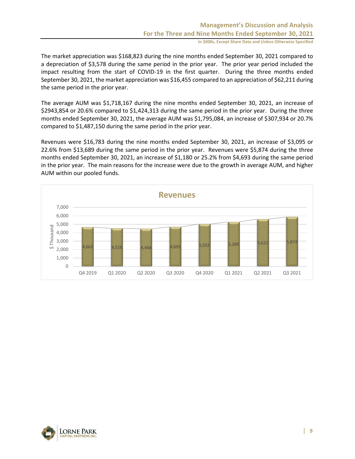The market appreciation was \$168,823 during the nine months ended September 30, 2021 compared to a depreciation of \$3,578 during the same period in the prior year. The prior year period included the impact resulting from the start of COVID-19 in the first quarter. During the three months ended September 30, 2021, the market appreciation was \$16,455 compared to an appreciation of \$62,211 during the same period in the prior year.

The average AUM was \$1,718,167 during the nine months ended September 30, 2021, an increase of \$2943,854 or 20.6% compared to \$1,424,313 during the same period in the prior year. During the three months ended September 30, 2021, the average AUM was \$1,795,084, an increase of \$307,934 or 20.7% compared to \$1,487,150 during the same period in the prior year.

Revenues were \$16,783 during the nine months ended September 30, 2021, an increase of \$3,095 or 22.6% from \$13,689 during the same period in the prior year. Revenues were \$5,874 during the three months ended September 30, 2021, an increase of \$1,180 or 25.2% from \$4,693 during the same period in the prior year. The main reasons for the increase were due to the growth in average AUM, and higher AUM within our pooled funds.



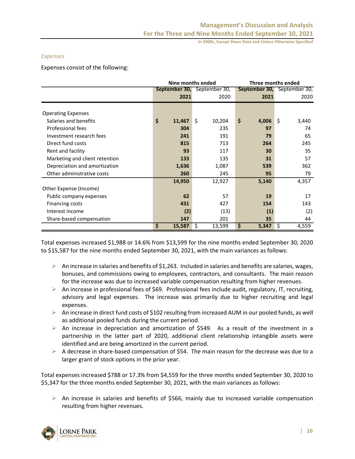#### *Expenses*

Expenses consist of the following:

|                                |              | Nine months ended           | Three months ended |                             |  |  |  |  |
|--------------------------------|--------------|-----------------------------|--------------------|-----------------------------|--|--|--|--|
|                                |              | September 30, September 30, |                    | September 30, September 30, |  |  |  |  |
|                                | 2021         | 2020                        | 2021               | 2020                        |  |  |  |  |
|                                |              |                             |                    |                             |  |  |  |  |
| <b>Operating Expenses</b>      |              |                             |                    |                             |  |  |  |  |
| Salaries and benefits          | \$<br>11,467 | \$<br>10,204                | \$<br>4,006        | \$<br>3,440                 |  |  |  |  |
| Professional fees              | 304          | 235                         | 97                 | 74                          |  |  |  |  |
| Investment research fees       | 241          | 191                         | 79                 | 65                          |  |  |  |  |
| Direct fund costs              | 815          | 713                         | 264                | 245                         |  |  |  |  |
| Rent and facility              | 93           | 117                         | 30                 | 35                          |  |  |  |  |
| Marketing and client retention | 133          | 135                         | 31                 | 57                          |  |  |  |  |
| Depreciation and amortization  | 1,636        | 1,087                       | 539                | 362                         |  |  |  |  |
| Other administrative costs     | 260          | 245                         | 95                 | 79                          |  |  |  |  |
|                                | 14,950       | 12,927                      | 5,140              | 4,357                       |  |  |  |  |
| Other Expense (Income)         |              |                             |                    |                             |  |  |  |  |
| Public company expenses        | 62           | 57                          | 19                 | 17                          |  |  |  |  |
| Financing costs                | 431          | 427                         | 154                | 143                         |  |  |  |  |
| Interest income                | (2)          | (13)                        | (1)                | (2)                         |  |  |  |  |
| Share-based compensation       | 147          | 201                         | 35                 | 44                          |  |  |  |  |
|                                | \$<br>15,587 | \$<br>13,599                | \$<br>5,347        | 4,559<br>\$                 |  |  |  |  |

Total expenses increased \$1,988 or 14.6% from \$13,599 for the nine months ended September 30, 2020 to \$15,587 for the nine months ended September 30, 2021, with the main variances as follows:

- $\triangleright$  An increase in salaries and benefits of \$1,263. Included in salaries and benefits are salaries, wages, bonuses, and commissions owing to employees, contractors, and consultants. The main reason for the increase was due to increased variable compensation resulting from higher revenues.
- $\triangleright$  An increase in professional fees of \$69. Professional fees include audit, regulatory, IT, recruiting, advisory and legal expenses. The increase was primarily due to higher recruiting and legal expenses.
- ➢ An increase in direct fund costs of \$102 resulting from increased AUM in our pooled funds, as well as additional pooled funds during the current period.
- ➢ An increase in depreciation and amortization of \$549. As a result of the investment in a partnership in the latter part of 2020, additional client relationship intangible assets were identified and are being amortized in the current period.
- $\triangleright$  A decrease in share-based compensation of \$54. The main reason for the decrease was due to a larger grant of stock options in the prior year.

Total expenses increased \$788 or 17.3% from \$4,559 for the three months ended September 30, 2020 to \$5,347 for the three months ended September 30, 2021, with the main variances as follows:

➢ An increase in salaries and benefits of \$566, mainly due to increased variable compensation resulting from higher revenues.

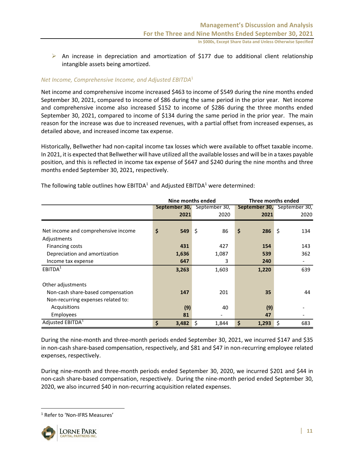$\triangleright$  An increase in depreciation and amortization of \$177 due to additional client relationship intangible assets being amortized.

#### *Net Income, Comprehensive Income, and Adjusted EBITDA*<sup>1</sup>

Net income and comprehensive income increased \$463 to income of \$549 during the nine months ended September 30, 2021, compared to income of \$86 during the same period in the prior year. Net income and comprehensive income also increased \$152 to income of \$286 during the three months ended September 30, 2021, compared to income of \$134 during the same period in the prior year. The main reason for the increase was due to increased revenues, with a partial offset from increased expenses, as detailed above, and increased income tax expense.

Historically, Bellwether had non-capital income tax losses which were available to offset taxable income. In 2021, it is expected that Bellwether will have utilized all the available losses and will be in a taxes payable position, and this is reflected in income tax expense of \$647 and \$240 during the nine months and three months ended September 30, 2021, respectively.

|                                     | Nine months ended |                             | Three months ended |                                    |  |  |  |  |
|-------------------------------------|-------------------|-----------------------------|--------------------|------------------------------------|--|--|--|--|
|                                     |                   | September 30, September 30, |                    | <b>September 30, September 30,</b> |  |  |  |  |
|                                     | 2021              | 2020                        | 2021               | 2020                               |  |  |  |  |
|                                     |                   |                             |                    |                                    |  |  |  |  |
| Net income and comprehensive income | \$<br>549         | \$<br>86                    | \$<br>286          | \$<br>134                          |  |  |  |  |
| Adjustments                         |                   |                             |                    |                                    |  |  |  |  |
| <b>Financing costs</b>              | 431               | 427                         | 154                | 143                                |  |  |  |  |
| Depreciation and amortization       | 1,636             | 1,087                       | 539                | 362                                |  |  |  |  |
| Income tax expense                  | 647               | 3                           | 240                |                                    |  |  |  |  |
| EBITDA <sup>1</sup>                 | 3,263             | 1,603                       | 1,220              | 639                                |  |  |  |  |
| Other adjustments                   |                   |                             |                    |                                    |  |  |  |  |
| Non-cash share-based compensation   | 147               | 201                         | 35                 | 44                                 |  |  |  |  |
| Non-recurring expenses related to:  |                   |                             |                    |                                    |  |  |  |  |
| Acquisitions                        | (9)               | 40                          | (9)                |                                    |  |  |  |  |
| Employees                           | 81                |                             | 47                 |                                    |  |  |  |  |
| Adjusted EBITDA <sup>1</sup>        | \$<br>3,482       | \$<br>1,844                 | \$<br>1,293        | \$<br>683                          |  |  |  |  |

The following table outlines how  $EBITDA<sup>1</sup>$  and Adjusted EBITDA<sup>1</sup> were determined:

During the nine-month and three-month periods ended September 30, 2021, we incurred \$147 and \$35 in non-cash share-based compensation, respectively, and \$81 and \$47 in non-recurring employee related expenses, respectively.

During nine-month and three-month periods ended September 30, 2020, we incurred \$201 and \$44 in non-cash share-based compensation, respectively. During the nine-month period ended September 30, 2020, we also incurred \$40 in non-recurring acquisition related expenses.

<sup>1</sup> Refer to 'Non-IFRS Measures'

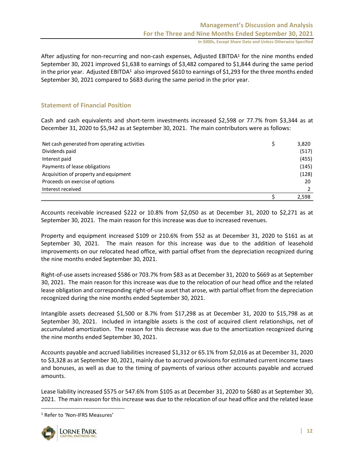After adjusting for non-recurring and non-cash expenses, Adjusted EBITDA<sup>1</sup> for the nine months ended September 30, 2021 improved \$1,638 to earnings of \$3,482 compared to \$1,844 during the same period in the prior year. Adjusted EBITDA<sup>1</sup> also improved \$610 to earnings of \$1,293 for the three months ended September 30, 2021 compared to \$683 during the same period in the prior year.

### **Statement of Financial Position**

Cash and cash equivalents and short-term investments increased \$2,598 or 77.7% from \$3,344 as at December 31, 2020 to \$5,942 as at September 30, 2021. The main contributors were as follows:

| Net cash generated from operating activities | 3,820 |
|----------------------------------------------|-------|
| Dividends paid                               | (517) |
| Interest paid                                | (455) |
| Payments of lease obligations                | (145) |
| Acquisition of property and equipment        | (128) |
| Proceeds on exercise of options              | 20    |
| Interest received                            |       |
|                                              | 2.598 |

Accounts receivable increased \$222 or 10.8% from \$2,050 as at December 31, 2020 to \$2,271 as at September 30, 2021. The main reason for this increase was due to increased revenues.

Property and equipment increased \$109 or 210.6% from \$52 as at December 31, 2020 to \$161 as at September 30, 2021. The main reason for this increase was due to the addition of leasehold improvements on our relocated head office, with partial offset from the depreciation recognized during the nine months ended September 30, 2021.

Right-of-use assets increased \$586 or 703.7% from \$83 as at December 31, 2020 to \$669 as at September 30, 2021. The main reason for this increase was due to the relocation of our head office and the related lease obligation and corresponding right-of-use asset that arose, with partial offset from the depreciation recognized during the nine months ended September 30, 2021.

Intangible assets decreased \$1,500 or 8.7% from \$17,298 as at December 31, 2020 to \$15,798 as at September 30, 2021. Included in intangible assets is the cost of acquired client relationships, net of accumulated amortization. The reason for this decrease was due to the amortization recognized during the nine months ended September 30, 2021.

Accounts payable and accrued liabilities increased \$1,312 or 65.1% from \$2,016 as at December 31, 2020 to \$3,328 as at September 30, 2021, mainly due to accrued provisions for estimated current income taxes and bonuses, as well as due to the timing of payments of various other accounts payable and accrued amounts.

Lease liability increased \$575 or 547.6% from \$105 as at December 31, 2020 to \$680 as at September 30, 2021. The main reason for this increase was due to the relocation of our head office and the related lease

<sup>1</sup> Refer to 'Non-IFRS Measures'

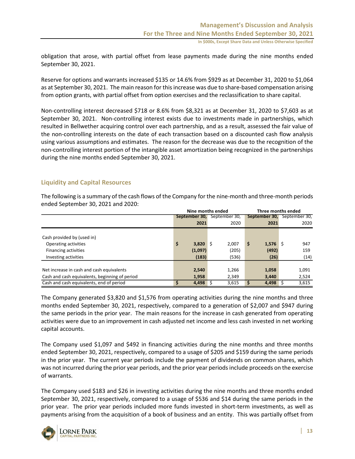obligation that arose, with partial offset from lease payments made during the nine months ended September 30, 2021.

Reserve for options and warrants increased \$135 or 14.6% from \$929 as at December 31, 2020 to \$1,064 as at September 30, 2021. The main reason for this increase was due to share-based compensation arising from option grants, with partial offset from option exercises and the reclassification to share capital.

Non-controlling interest decreased \$718 or 8.6% from \$8,321 as at December 31, 2020 to \$7,603 as at September 30, 2021. Non-controlling interest exists due to investments made in partnerships, which resulted in Bellwether acquiring control over each partnership, and as a result, assessed the fair value of the non-controlling interests on the date of each transaction based on a discounted cash flow analysis using various assumptions and estimates. The reason for the decrease was due to the recognition of the non-controlling interest portion of the intangible asset amortization being recognized in the partnerships during the nine months ended September 30, 2021.

#### **Liquidity and Capital Resources**

The following is a summary of the cash flows of the Company for the nine-month and three-month periods ended September 30, 2021 and 2020:

|                                                |                  | Nine months ended | Three months ended |               |  |  |  |
|------------------------------------------------|------------------|-------------------|--------------------|---------------|--|--|--|
|                                                | September 30,    | September 30,     | September 30,      | September 30, |  |  |  |
|                                                | 2021             | 2020              | 2021               | 2020          |  |  |  |
|                                                |                  |                   |                    |               |  |  |  |
| Cash provided by (used in)                     |                  |                   |                    |               |  |  |  |
| Operating activities                           | \$<br>$3,820$ \$ | 2,007             | $1,576$ \$<br>\$   | 947           |  |  |  |
| <b>Financing activities</b>                    | (1,097)          | (205)             | (492)              | 159           |  |  |  |
| Investing activities                           | (183)            | (536)             | (26)               | (14)          |  |  |  |
|                                                |                  |                   |                    |               |  |  |  |
| Net increase in cash and cash equivalents      | 2.540            | 1,266             | 1,058              | 1,091         |  |  |  |
| Cash and cash equivalents, beginning of period | 1,958            | 2,349             | 3,440              | 2,524         |  |  |  |
| Cash and cash equivalents, end of period       | 4,498 \$<br>s    | 3,615             | 4,498              | 3,615         |  |  |  |

The Company generated \$3,820 and \$1,576 from operating activities during the nine months and three months ended September 30, 2021, respectively, compared to a generation of \$2,007 and \$947 during the same periods in the prior year. The main reasons for the increase in cash generated from operating activities were due to an improvement in cash adjusted net income and less cash invested in net working capital accounts.

The Company used \$1,097 and \$492 in financing activities during the nine months and three months ended September 30, 2021, respectively, compared to a usage of \$205 and \$159 during the same periods in the prior year. The current year periods include the payment of dividends on common shares, which was not incurred during the prior year periods, and the prior year periods include proceeds on the exercise of warrants.

The Company used \$183 and \$26 in investing activities during the nine months and three months ended September 30, 2021, respectively, compared to a usage of \$536 and \$14 during the same periods in the prior year. The prior year periods included more funds invested in short-term investments, as well as payments arising from the acquisition of a book of business and an entity. This was partially offset from

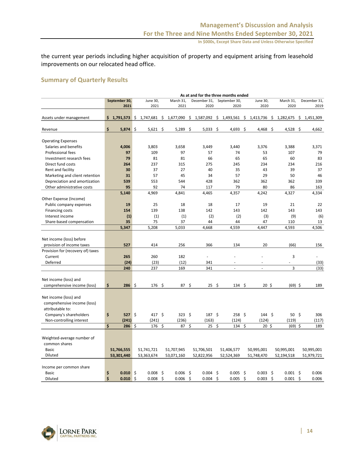the current year periods including higher acquisition of property and equipment arising from leasehold improvements on our relocated head office.

### **Summary of Quarterly Results**

|                                   | As at and for the three months ended |               |    |                           |    |               |     |               |      |                   |      |                                                               |              |    |              |
|-----------------------------------|--------------------------------------|---------------|----|---------------------------|----|---------------|-----|---------------|------|-------------------|------|---------------------------------------------------------------|--------------|----|--------------|
|                                   |                                      | September 30, |    | June 30,                  |    | March 31,     |     | December 31,  |      | September 30,     |      | June 30,                                                      | March 31,    |    | December 31, |
|                                   |                                      | 2021          |    | 2021                      |    | 2021          |     | 2020          |      | 2020              |      | 2020                                                          | 2020         |    | 2019         |
|                                   |                                      |               |    |                           |    |               |     |               |      |                   |      |                                                               |              |    |              |
| Assets under management           |                                      |               |    | $$1,791,573 \ $1,747,681$ | \$ |               |     |               |      |                   |      | 1,677,090 \$ 1,587,092 \$ 1,493,561 \$ 1,413,736 \$ 1,282,675 |              | \$ | 1,451,309    |
|                                   |                                      |               |    |                           |    |               |     |               |      |                   |      |                                                               |              |    |              |
| Revenue                           | \$                                   | 5,874         | \$ | $5,621$ \$                |    | 5,289         | -\$ | $5,033$ \$    |      | 4,693 \$          |      | $4,468$ \$                                                    | 4,528 \$     |    | 4,662        |
|                                   |                                      |               |    |                           |    |               |     |               |      |                   |      |                                                               |              |    |              |
| <b>Operating Expenses</b>         |                                      |               |    |                           |    |               |     |               |      |                   |      |                                                               |              |    |              |
| Salaries and benefits             |                                      | 4,006         |    | 3,803                     |    | 3,658         |     | 3,449         |      | 3,440             |      | 3,376                                                         | 3,388        |    | 3,371        |
| <b>Professional fees</b>          |                                      | 97            |    | 109                       |    | 97            |     | 57            |      | 74                |      | 53                                                            | 107          |    | 79           |
| Investment research fees          |                                      | 79            |    | 81                        |    | 81            |     | 66            |      | 65                |      | 65                                                            | 60           |    | 83           |
| Direct fund costs                 |                                      | 264           |    | 237                       |    | 315           |     | 275           |      | 245               |      | 234                                                           | 234          |    | 216          |
| Rent and facility                 |                                      | 30            |    | 37                        |    | 27            |     | 40            |      | 35                |      | 43                                                            | 39           |    | 37           |
| Marketing and client retention    |                                      | 31            |    | 57                        |    | 45            |     | 34            |      | 57                |      | 29                                                            | 50           |    | 46           |
| Depreciation and amortization     |                                      | 539           |    | 553                       |    | 544           |     | 428           |      | 362               |      | 362                                                           | 362          |    | 339          |
| Other administrative costs        |                                      | 95            |    | 92                        |    | 74            |     | 117           |      | 79                |      | 80                                                            | 86           |    | 163          |
|                                   |                                      | 5,140         |    | 4,969                     |    | 4,841         |     | 4,465         |      | 4,357             |      | 4,242                                                         | 4,327        |    | 4,334        |
| Other Expense (Income)            |                                      |               |    |                           |    |               |     |               |      |                   |      |                                                               |              |    |              |
| Public company expenses           |                                      | 19            |    | 25                        |    | 18            |     | 18            |      | 17                |      | 19                                                            | 21           |    | 22           |
| <b>Financing costs</b>            |                                      | 154           |    | 139                       |    | 138           |     | 142           |      | 143               |      | 142                                                           | 143          |    | 143          |
| Interest income                   |                                      | (1)           |    | (1)                       |    | (1)           |     | (2)           |      | (2)               |      | (3)                                                           | (9)          |    | (6)          |
| Share-based compensation          |                                      | 35            |    | 75                        |    | 37            |     | 44            |      | 44                |      | 47                                                            | 110          |    | 13           |
|                                   |                                      | 5,347         |    | 5,208                     |    | 5,033         |     | 4,668         |      | 4,559             |      | 4,447                                                         | 4,593        |    | 4,506        |
|                                   |                                      |               |    |                           |    |               |     |               |      |                   |      |                                                               |              |    |              |
| Net income (loss) before          |                                      |               |    |                           |    |               |     |               |      |                   |      |                                                               |              |    |              |
| provision of income taxes         |                                      | 527           |    | 414                       |    | 256           |     | 366           |      | 134               |      | 20                                                            | (66)         |    | 156          |
| Provision for (recovery of) taxes |                                      |               |    |                           |    |               |     |               |      |                   |      |                                                               |              |    |              |
| Current                           |                                      | 265           |    | 260                       |    | 182           |     | L,            |      | ä,                |      |                                                               | 3            |    | ÷.           |
| Deferred                          |                                      | (24)          |    | (23)                      |    | (12)          |     | 341           |      |                   |      |                                                               |              |    | (33)         |
|                                   |                                      | 240           |    | 237                       |    | 169           |     | 341           |      | $\overline{a}$    |      | $\Box$                                                        | 3            |    | (33)         |
|                                   |                                      |               |    |                           |    |               |     |               |      |                   |      |                                                               |              |    |              |
| Net income (loss) and             |                                      |               |    |                           |    |               |     |               |      |                   |      |                                                               |              |    |              |
| comprehensive income (loss)       | \$                                   | $286$ \$      |    | 176 \$                    |    | $87 \;$ \$    |     | $25 \quad 5$  |      | $134 \; \text{S}$ |      | $20 \;$ \$                                                    | (69) \$      |    | 189          |
|                                   |                                      |               |    |                           |    |               |     |               |      |                   |      |                                                               |              |    |              |
| Net income (loss) and             |                                      |               |    |                           |    |               |     |               |      |                   |      |                                                               |              |    |              |
| comprehensive income (loss)       |                                      |               |    |                           |    |               |     |               |      |                   |      |                                                               |              |    |              |
| attributable to:                  |                                      |               |    |                           |    |               |     |               |      |                   |      |                                                               |              |    |              |
| Company's shareholders            | \$                                   | $527$ \$      |    | 417 \$                    |    | $323 \quad $$ |     | $187 \quad $$ |      | $258 \;$ \$       |      | $144 \; \text{S}$                                             | $50 \quad $$ |    | 306          |
| Non-controlling interest          |                                      | (241)         |    | (241)                     |    | (236)         |     | (163)         |      | (124)             |      | (124)                                                         | (119)        |    | (117)        |
|                                   | \$                                   | 286           | \$ | 176                       | \$ | 87            | \$  | 25            | \$   | 134               | \$   | $20 \;$ \$                                                    | (69) \$      |    | 189          |
|                                   |                                      |               |    |                           |    |               |     |               |      |                   |      |                                                               |              |    |              |
| Weighted-average number of        |                                      |               |    |                           |    |               |     |               |      |                   |      |                                                               |              |    |              |
| common shares                     |                                      |               |    |                           |    |               |     |               |      |                   |      |                                                               |              |    |              |
| <b>Basic</b>                      |                                      | 51,766,555    |    | 51,741,721                |    | 51,707,945    |     | 51,706,501    |      | 51,406,577        |      | 50,995,001                                                    | 50,995,001   |    | 50,995,001   |
| Diluted                           |                                      | 53,301,440    |    | 53,363,674                |    | 53,071,160    |     | 52,822,956    |      | 52,524,369        |      | 51,748,470                                                    | 52,194,518   |    | 51,979,721   |
|                                   |                                      |               |    |                           |    |               |     |               |      |                   |      |                                                               |              |    |              |
| Income per common share           |                                      |               |    |                           |    |               |     |               |      |                   |      |                                                               |              |    |              |
| <b>Basic</b>                      | \$                                   | $0.010$ \$    |    | 0.008                     | \$ | $0.006$ \$    |     | 0.004         | - \$ | 0.005             | - \$ | -\$<br>0.003                                                  | $0.001$ \$   |    | 0.006        |
| Diluted                           | \$                                   | 0.010         | \$ | 0.008                     | \$ | 0.006         | \$  | 0.004         | \$   | 0.005             | - \$ | \$<br>0.003                                                   | 0.001        | \$ | 0.006        |

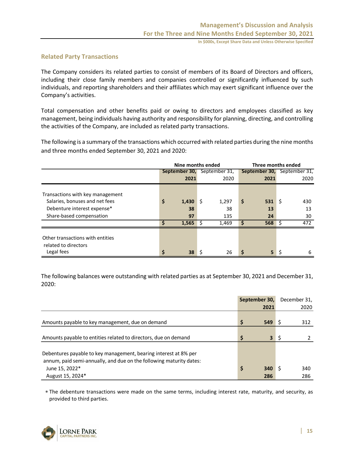#### **Related Party Transactions**

The Company considers its related parties to consist of members of its Board of Directors and officers, including their close family members and companies controlled or significantly influenced by such individuals, and reporting shareholders and their affiliates which may exert significant influence over the Company's activities.

Total compensation and other benefits paid or owing to directors and employees classified as key management, being individuals having authority and responsibility for planning, directing, and controlling the activities of the Company, are included as related party transactions.

The following is a summary of the transactions which occurred with related parties during the nine months and three months ended September 30, 2021 and 2020:

|                                                                                                   | Nine months ended |             |     |                                    |    | Three months ended |    |                                    |  |  |
|---------------------------------------------------------------------------------------------------|-------------------|-------------|-----|------------------------------------|----|--------------------|----|------------------------------------|--|--|
|                                                                                                   |                   |             |     | <b>September 30, September 31,</b> |    |                    |    | <b>September 30, September 31,</b> |  |  |
|                                                                                                   |                   | 2021        |     | 2020                               |    | 2021               |    | 2020                               |  |  |
| Transactions with key management<br>Salaries, bonuses and net fees<br>Debenture interest expense* | \$                | 1,430<br>38 | l S | 1,297<br>38                        | \$ | 531<br>13          | -S | 430<br>13                          |  |  |
| Share-based compensation                                                                          |                   | 97          |     | 135                                |    | 24                 |    | 30                                 |  |  |
|                                                                                                   | Ś                 | 1,565       | ∣ Ś | 1,469                              |    | $568 \pm 5$        |    | 472                                |  |  |
| Other transactions with entities<br>related to directors<br>Legal fees                            | \$                | 38          |     | 26                                 | Ś  | 5                  | \$ | 6                                  |  |  |

The following balances were outstanding with related parties as at September 30, 2021 and December 31, 2020:

|                                                                                                                                                           |    | September 30,           | December 31, |
|-----------------------------------------------------------------------------------------------------------------------------------------------------------|----|-------------------------|--------------|
|                                                                                                                                                           |    | 2021                    | 2020         |
| Amounts payable to key management, due on demand                                                                                                          | \$ | 549                     | 312          |
| Amounts payable to entities related to directors, due on demand                                                                                           | Ś  | $\overline{\mathbf{3}}$ |              |
| Debentures payable to key management, bearing interest at 8% per<br>annum, paid semi-annually, and due on the following maturity dates:<br>June 15, 2022* | \$ | 340                     | 340<br>286   |
| August 15, 2024*                                                                                                                                          |    | 286                     |              |

 The debenture transactions were made on the same terms, including interest rate, maturity, and security, as provided to third parties.

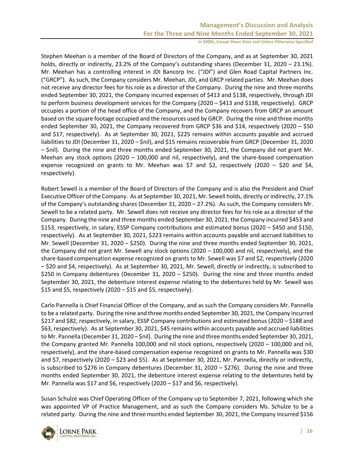Stephen Meehan is a member of the Board of Directors of the Company, and as at September 30, 2021 holds, directly or indirectly, 23.2% of the Company's outstanding shares (December 31, 2020 – 23.1%). Mr. Meehan has a controlling interest in JDI Bancorp Inc. ("JDI") and Glen Road Capital Partners Inc. ("GRCP"). As such, the Company considers Mr. Meehan, JDI, and GRCP related parties. Mr. Meehan does not receive any director fees for his role as a director of the Company. During the nine and three months ended September 30, 2021, the Company incurred expenses of \$413 and \$138, respectively, through JDI to perform business development services for the Company (2020 – \$413 and \$138, respectively). GRCP occupies a portion of the head office of the Company, and the Company recovers from GRCP an amount based on the square footage occupied and the resources used by GRCP. During the nine and three months ended September 30, 2021, the Company recovered from GRCP \$36 and \$14, respectively (2020 – \$50 and \$17, respectively). As at September 30, 2021, \$225 remains within accounts payable and accrued liabilities to JDI (December 31, 2020 – \$nil), and \$15 remains recoverable from GRCP (December 31, 2020 – \$nil). During the nine and three months ended September 30, 2021, the Company did not grant Mr. Meehan any stock options (2020 – 100,000 and nil, respectively), and the share-based compensation expense recognized on grants to Mr. Meehan was \$7 and \$2, respectively (2020 – \$20 and \$4, respectively).

Robert Sewell is a member of the Board of Directors of the Company and is also the President and Chief Executive Officer of the Company. As at September 30, 2021, Mr. Sewell holds, directly or indirectly, 27.1% of the Company's outstanding shares (December 31, 2020 – 27.2%). As such, the Company considers Mr. Sewell to be a related party. Mr. Sewell does not receive any director fees for his role as a director of the Company. During the nine and three months ended September 30, 2021, the Company incurred \$453 and \$153, respectively, in salary, ESSP Company contributions and estimated bonus (2020 – \$450 and \$150, respectively). As at September 30, 2021, \$223 remains within accounts payable and accrued liabilities to Mr. Sewell (December 31, 2020 – \$250). During the nine and three months ended September 30, 2021, the Company did not grant Mr. Sewell any stock options (2020 – 100,000 and nil, respectively), and the share-based compensation expense recognized on grants to Mr. Sewell was \$7 and \$2, respectively (2020 – \$20 and \$4, respectively). As at September 30, 2021, Mr. Sewell, directly or indirectly, is subscribed to \$250 in Company debentures (December 31, 2020 – \$250). During the nine and three months ended September 30, 2021, the debenture interest expense relating to the debentures held by Mr. Sewell was \$15 and \$5, respectively (2020 – \$15 and \$5, respectively).

Carlo Pannella is Chief Financial Officer of the Company, and as such the Company considers Mr. Pannella to be a related party. During the nine and three months ended September 30, 2021, the Company incurred \$217 and \$82, respectively, in salary, ESSP Company contributions and estimated bonus (2020 – \$188 and \$63, respectively). As at September 30, 2021, \$45 remains within accounts payable and accrued liabilities to Mr. Pannella (December 31, 2020 – \$nil). During the nine and three months ended September 30, 2021, the Company granted Mr. Pannella 100,000 and nil stock options, respectively (2020 – 100,000 and nil, respectively), and the share-based compensation expense recognized on grants to Mr. Pannella was \$30 and \$7, respectively (2020 – \$23 and \$5). As at September 30, 2021, Mr. Pannella, directly or indirectly, is subscribed to \$276 in Company debentures (December 31, 2020 – \$276). During the nine and three months ended September 30, 2021, the debenture interest expense relating to the debentures held by Mr. Pannella was \$17 and \$6, respectively (2020 – \$17 and \$6, respectively).

Susan Schulze was Chief Operating Officer of the Company up to September 7, 2021, following which she was appointed VP of Practice Management, and as such the Company considers Ms. Schulze to be a related party. During the nine and three months ended September 30, 2021, the Company incurred \$156

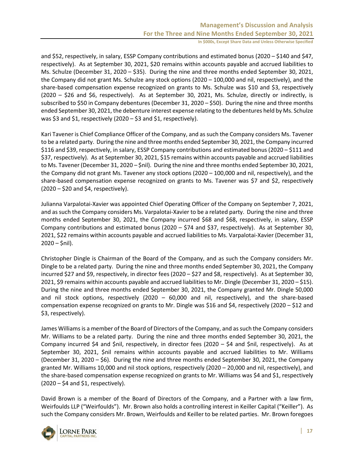and \$52, respectively, in salary, ESSP Company contributions and estimated bonus (2020 – \$140 and \$47, respectively). As at September 30, 2021, \$20 remains within accounts payable and accrued liabilities to Ms. Schulze (December 31, 2020 – \$35). During the nine and three months ended September 30, 2021, the Company did not grant Ms. Schulze any stock options (2020 – 100,000 and nil, respectively), and the share-based compensation expense recognized on grants to Ms. Schulze was \$10 and \$3, respectively (2020 – \$26 and \$6, respectively). As at September 30, 2021, Ms. Schulze, directly or indirectly, is subscribed to \$50 in Company debentures (December 31, 2020 – \$50). During the nine and three months ended September 30, 2021, the debenture interest expense relating to the debentures held by Ms. Schulze was \$3 and \$1, respectively (2020 – \$3 and \$1, respectively).

Kari Tavener is Chief Compliance Officer of the Company, and as such the Company considers Ms. Tavener to be a related party. During the nine and three months ended September 30, 2021, the Company incurred \$116 and \$39, respectively, in salary, ESSP Company contributions and estimated bonus (2020 – \$111 and \$37, respectively). As at September 30, 2021, \$15 remains within accounts payable and accrued liabilities to Ms. Tavener (December 31, 2020 – \$nil). During the nine and three months ended September 30, 2021, the Company did not grant Ms. Tavener any stock options (2020 – 100,000 and nil, respectively), and the share-based compensation expense recognized on grants to Ms. Tavener was \$7 and \$2, respectively  $(2020 - $20$  and \$4, respectively).

Julianna Varpalotai-Xavier was appointed Chief Operating Officer of the Company on September 7, 2021, and as such the Company considers Ms. Varpalotai-Xavier to be a related party. During the nine and three months ended September 30, 2021, the Company incurred \$68 and \$68, respectively, in salary, ESSP Company contributions and estimated bonus (2020 – \$74 and \$37, respectively). As at September 30, 2021, \$22 remains within accounts payable and accrued liabilities to Ms. Varpalotai-Xavier (December 31,  $2020 - 5$ nil).

Christopher Dingle is Chairman of the Board of the Company, and as such the Company considers Mr. Dingle to be a related party. During the nine and three months ended September 30, 2021, the Company incurred \$27 and \$9, respectively, in director fees (2020 – \$27 and \$8, respectively). As at September 30, 2021, \$9 remains within accounts payable and accrued liabilities to Mr. Dingle (December 31, 2020 – \$15). During the nine and three months ended September 30, 2021, the Company granted Mr. Dingle 50,000 and nil stock options, respectively (2020 – 60,000 and nil, respectively), and the share-based compensation expense recognized on grants to Mr. Dingle was \$16 and \$4, respectively (2020 – \$12 and \$3, respectively).

James Williams is a member of the Board of Directors of the Company, and as such the Company considers Mr. Williams to be a related party. During the nine and three months ended September 30, 2021, the Company incurred \$4 and \$nil, respectively, in director fees (2020 – \$4 and \$nil, respectively). As at September 30, 2021, \$nil remains within accounts payable and accrued liabilities to Mr. Williams (December 31, 2020 – \$6). During the nine and three months ended September 30, 2021, the Company granted Mr. Williams 10,000 and nil stock options, respectively (2020 – 20,000 and nil, respectively), and the share-based compensation expense recognized on grants to Mr. Williams was \$4 and \$1, respectively  $(2020 - $4$  and \$1, respectively).

David Brown is a member of the Board of Directors of the Company, and a Partner with a law firm, Weirfoulds LLP ("Weirfoulds"). Mr. Brown also holds a controlling interest in Keiller Capital ("Keiller"). As such the Company considers Mr. Brown, Weirfoulds and Keiller to be related parties. Mr. Brown foregoes

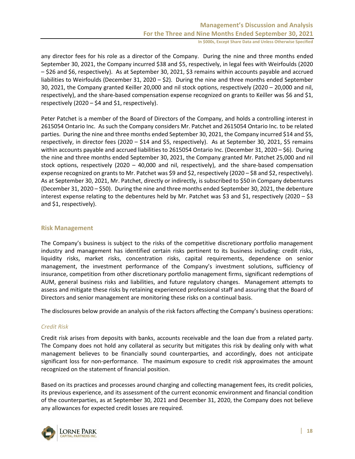any director fees for his role as a director of the Company. During the nine and three months ended September 30, 2021, the Company incurred \$38 and \$5, respectively, in legal fees with Weirfoulds (2020 – \$26 and \$6, respectively). As at September 30, 2021, \$3 remains within accounts payable and accrued liabilities to Weirfoulds (December 31, 2020 – \$2). During the nine and three months ended September 30, 2021, the Company granted Keiller 20,000 and nil stock options, respectively (2020 – 20,000 and nil, respectively), and the share-based compensation expense recognized on grants to Keiller was \$6 and \$1, respectively (2020 – \$4 and \$1, respectively).

Peter Patchet is a member of the Board of Directors of the Company, and holds a controlling interest in 2615054 Ontario Inc. As such the Company considers Mr. Patchet and 2615054 Ontario Inc. to be related parties. During the nine and three months ended September 30, 2021, the Company incurred \$14 and \$5, respectively, in director fees (2020 – \$14 and \$5, respectively). As at September 30, 2021, \$5 remains within accounts payable and accrued liabilities to 2615054 Ontario Inc. (December 31, 2020 – \$6). During the nine and three months ended September 30, 2021, the Company granted Mr. Patchet 25,000 and nil stock options, respectively (2020 – 40,000 and nil, respectively), and the share-based compensation expense recognized on grants to Mr. Patchet was \$9 and \$2, respectively (2020 – \$8 and \$2, respectively). As at September 30, 2021, Mr. Patchet, directly or indirectly, is subscribed to \$50 in Company debentures (December 31, 2020 – \$50). During the nine and three months ended September 30, 2021, the debenture interest expense relating to the debentures held by Mr. Patchet was \$3 and \$1, respectively (2020 – \$3 and \$1, respectively).

#### **Risk Management**

The Company's business is subject to the risks of the competitive discretionary portfolio management industry and management has identified certain risks pertinent to its business including: credit risks, liquidity risks, market risks, concentration risks, capital requirements, dependence on senior management, the investment performance of the Company's investment solutions, sufficiency of insurance, competition from other discretionary portfolio management firms, significant redemptions of AUM, general business risks and liabilities, and future regulatory changes. Management attempts to assess and mitigate these risks by retaining experienced professional staff and assuring that the Board of Directors and senior management are monitoring these risks on a continual basis.

The disclosures below provide an analysis of the risk factors affecting the Company's business operations:

#### *Credit Risk*

Credit risk arises from deposits with banks, accounts receivable and the loan due from a related party. The Company does not hold any collateral as security but mitigates this risk by dealing only with what management believes to be financially sound counterparties, and accordingly, does not anticipate significant loss for non-performance. The maximum exposure to credit risk approximates the amount recognized on the statement of financial position.

Based on its practices and processes around charging and collecting management fees, its credit policies, its previous experience, and its assessment of the current economic environment and financial condition of the counterparties, as at September 30, 2021 and December 31, 2020, the Company does not believe any allowances for expected credit losses are required.

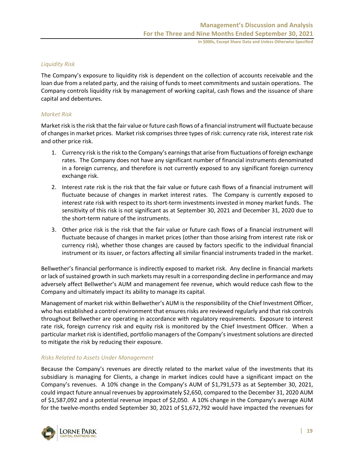#### *Liquidity Risk*

The Company's exposure to liquidity risk is dependent on the collection of accounts receivable and the loan due from a related party, and the raising of funds to meet commitments and sustain operations. The Company controls liquidity risk by management of working capital, cash flows and the issuance of share capital and debentures.

#### *Market Risk*

Market risk is the risk that the fair value or future cash flows of a financial instrument will fluctuate because of changes in market prices. Market risk comprises three types of risk: currency rate risk, interest rate risk and other price risk.

- 1. Currency risk is the risk to the Company's earnings that arise from fluctuations of foreign exchange rates. The Company does not have any significant number of financial instruments denominated in a foreign currency, and therefore is not currently exposed to any significant foreign currency exchange risk.
- 2. Interest rate risk is the risk that the fair value or future cash flows of a financial instrument will fluctuate because of changes in market interest rates. The Company is currently exposed to interest rate risk with respect to its short-term investments invested in money market funds. The sensitivity of this risk is not significant as at September 30, 2021 and December 31, 2020 due to the short-term nature of the instruments.
- 3. Other price risk is the risk that the fair value or future cash flows of a financial instrument will fluctuate because of changes in market prices (other than those arising from interest rate risk or currency risk), whether those changes are caused by factors specific to the individual financial instrument or its issuer, or factors affecting all similar financial instruments traded in the market.

Bellwether's financial performance is indirectly exposed to market risk. Any decline in financial markets or lack of sustained growth in such markets may result in a corresponding decline in performance and may adversely affect Bellwether's AUM and management fee revenue, which would reduce cash flow to the Company and ultimately impact its ability to manage its capital.

Management of market risk within Bellwether's AUM is the responsibility of the Chief Investment Officer, who has established a control environment that ensures risks are reviewed regularly and that risk controls throughout Bellwether are operating in accordance with regulatory requirements. Exposure to interest rate risk, foreign currency risk and equity risk is monitored by the Chief Investment Officer. When a particular market risk is identified, portfolio managers of the Company's investment solutions are directed to mitigate the risk by reducing their exposure.

#### *Risks Related to Assets Under Management*

Because the Company's revenues are directly related to the market value of the investments that its subsidiary is managing for Clients, a change in market indices could have a significant impact on the Company's revenues. A 10% change in the Company's AUM of \$1,791,573 as at September 30, 2021, could impact future annual revenues by approximately \$2,650, compared to the December 31, 2020 AUM of \$1,587,092 and a potential revenue impact of \$2,050. A 10% change in the Company's average AUM for the twelve-months ended September 30, 2021 of \$1,672,792 would have impacted the revenues for

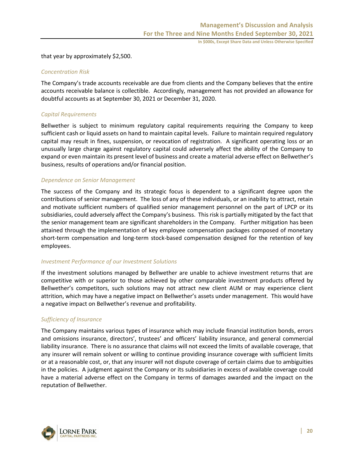that year by approximately \$2,500.

#### *Concentration Risk*

The Company's trade accounts receivable are due from clients and the Company believes that the entire accounts receivable balance is collectible. Accordingly, management has not provided an allowance for doubtful accounts as at September 30, 2021 or December 31, 2020.

#### *Capital Requirements*

Bellwether is subject to minimum regulatory capital requirements requiring the Company to keep sufficient cash or liquid assets on hand to maintain capital levels. Failure to maintain required regulatory capital may result in fines, suspension, or revocation of registration. A significant operating loss or an unusually large charge against regulatory capital could adversely affect the ability of the Company to expand or even maintain its present level of business and create a material adverse effect on Bellwether's business, results of operations and/or financial position.

#### *Dependence on Senior Management*

The success of the Company and its strategic focus is dependent to a significant degree upon the contributions of senior management. The loss of any of these individuals, or an inability to attract, retain and motivate sufficient numbers of qualified senior management personnel on the part of LPCP or its subsidiaries, could adversely affect the Company's business. This risk is partially mitigated by the fact that the senior management team are significant shareholders in the Company. Further mitigation has been attained through the implementation of key employee compensation packages composed of monetary short-term compensation and long-term stock-based compensation designed for the retention of key employees.

#### *Investment Performance of our Investment Solutions*

If the investment solutions managed by Bellwether are unable to achieve investment returns that are competitive with or superior to those achieved by other comparable investment products offered by Bellwether's competitors, such solutions may not attract new client AUM or may experience client attrition, which may have a negative impact on Bellwether's assets under management. This would have a negative impact on Bellwether's revenue and profitability.

#### *Sufficiency of Insurance*

The Company maintains various types of insurance which may include financial institution bonds, errors and omissions insurance, directors', trustees' and officers' liability insurance, and general commercial liability insurance. There is no assurance that claims will not exceed the limits of available coverage, that any insurer will remain solvent or willing to continue providing insurance coverage with sufficient limits or at a reasonable cost, or, that any insurer will not dispute coverage of certain claims due to ambiguities in the policies. A judgment against the Company or its subsidiaries in excess of available coverage could have a material adverse effect on the Company in terms of damages awarded and the impact on the reputation of Bellwether.